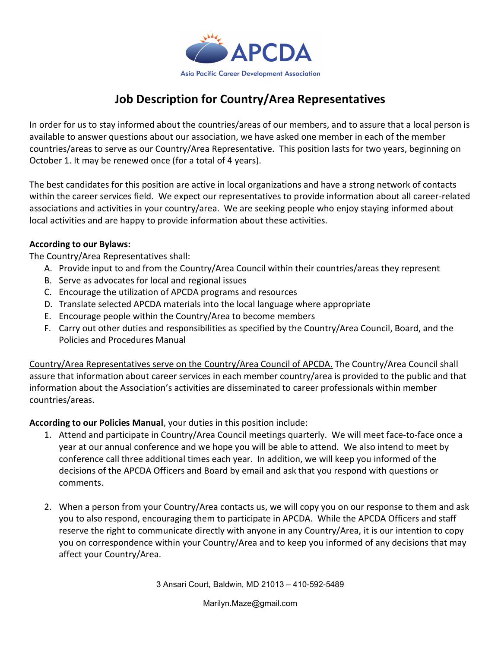

## Job Description for Country/Area Representatives

In order for us to stay informed about the countries/areas of our members, and to assure that a local person is available to answer questions about our association, we have asked one member in each of the member countries/areas to serve as our Country/Area Representative. This position lasts for two years, beginning on October 1. It may be renewed once (for a total of 4 years).

The best candidates for this position are active in local organizations and have a strong network of contacts within the career services field. We expect our representatives to provide information about all career-related associations and activities in your country/area. We are seeking people who enjoy staying informed about local activities and are happy to provide information about these activities.

## According to our Bylaws:

The Country/Area Representatives shall:

- A. Provide input to and from the Country/Area Council within their countries/areas they represent
- B. Serve as advocates for local and regional issues
- C. Encourage the utilization of APCDA programs and resources
- D. Translate selected APCDA materials into the local language where appropriate
- E. Encourage people within the Country/Area to become members
- F. Carry out other duties and responsibilities as specified by the Country/Area Council, Board, and the Policies and Procedures Manual

Country/Area Representatives serve on the Country/Area Council of APCDA. The Country/Area Council shall assure that information about career services in each member country/area is provided to the public and that information about the Association's activities are disseminated to career professionals within member countries/areas.

According to our Policies Manual, your duties in this position include:

- 1. Attend and participate in Country/Area Council meetings quarterly. We will meet face-to-face once a year at our annual conference and we hope you will be able to attend. We also intend to meet by conference call three additional times each year. In addition, we will keep you informed of the decisions of the APCDA Officers and Board by email and ask that you respond with questions or comments.
- 2. When a person from your Country/Area contacts us, we will copy you on our response to them and ask you to also respond, encouraging them to participate in APCDA. While the APCDA Officers and staff reserve the right to communicate directly with anyone in any Country/Area, it is our intention to copy you on correspondence within your Country/Area and to keep you informed of any decisions that may affect your Country/Area.

3 Ansari Court, Baldwin, MD 21013 – 410-592-5489

Marilyn.Maze@gmail.com